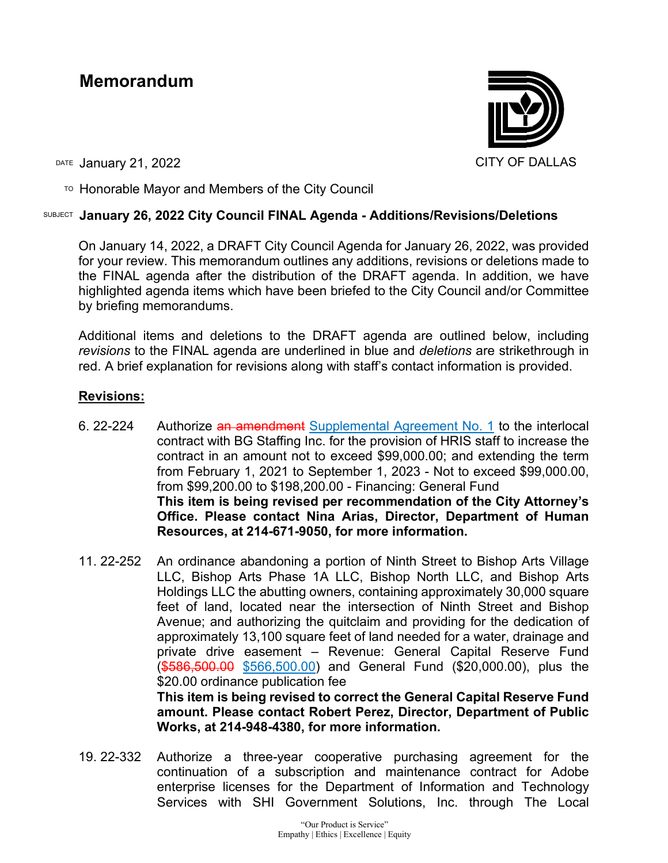# **Memorandum**



DATE January 21, 2022 **CITY OF DALLAS** 

TO Honorable Mayor and Members of the City Council

# SUBJECT **January 26, 2022 City Council FINAL Agenda - Additions/Revisions/Deletions**

On January 14, 2022, a DRAFT City Council Agenda for January 26, 2022, was provided for your review. This memorandum outlines any additions, revisions or deletions made to the FINAL agenda after the distribution of the DRAFT agenda. In addition, we have highlighted agenda items which have been briefed to the City Council and/or Committee by briefing memorandums.

Additional items and deletions to the DRAFT agenda are outlined below, including *revisions* to the FINAL agenda are underlined in blue and *deletions* are strikethrough in red. A brief explanation for revisions along with staff's contact information is provided.

# **Revisions:**

- 6. 22-224 Authorize an amendment Supplemental Agreement No. 1 to the interlocal contract with BG Staffing Inc. for the provision of HRIS staff to increase the contract in an amount not to exceed \$99,000.00; and extending the term from February 1, 2021 to September 1, 2023 - Not to exceed \$99,000.00, from \$99,200.00 to \$198,200.00 - Financing: General Fund **This item is being revised per recommendation of the City Attorney's Office. Please contact Nina Arias, Director, Department of Human Resources, at 214-671-9050, for more information.**
- 11. 22-252 An ordinance abandoning a portion of Ninth Street to Bishop Arts Village LLC, Bishop Arts Phase 1A LLC, Bishop North LLC, and Bishop Arts Holdings LLC the abutting owners, containing approximately 30,000 square feet of land, located near the intersection of Ninth Street and Bishop Avenue; and authorizing the quitclaim and providing for the dedication of approximately 13,100 square feet of land needed for a water, drainage and private drive easement – Revenue: General Capital Reserve Fund (\$586,500.00 \$566,500.00) and General Fund (\$20,000.00), plus the \$20.00 ordinance publication fee **This item is being revised to correct the General Capital Reserve Fund**

**amount. Please contact Robert Perez, Director, Department of Public Works, at 214-948-4380, for more information.**

19. 22-332 Authorize a three-year cooperative purchasing agreement for the continuation of a subscription and maintenance contract for Adobe enterprise licenses for the Department of Information and Technology Services with SHI Government Solutions, Inc. through The Local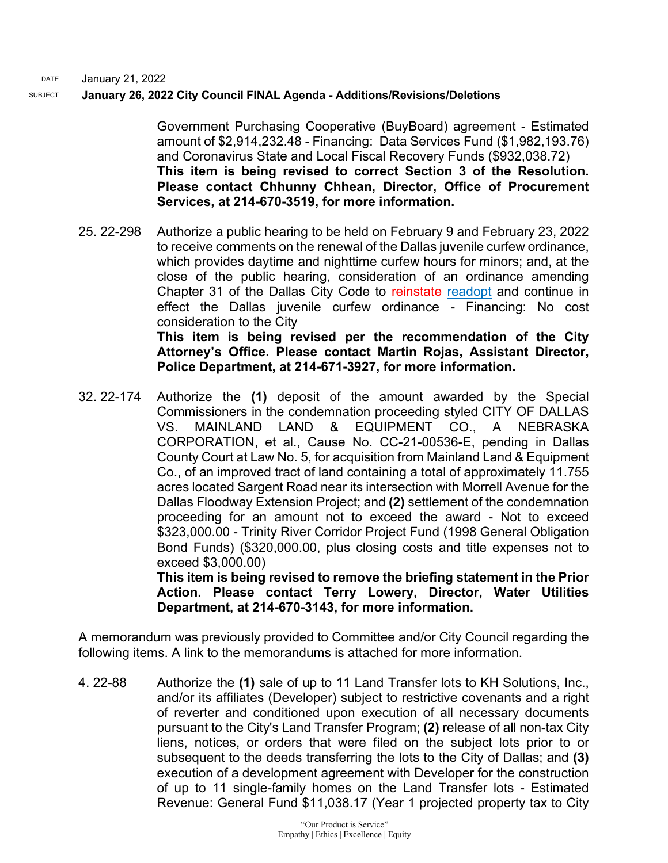#### DATE January 21, 2022

### SUBJECT **January 26, 2022 City Council FINAL Agenda - Additions/Revisions/Deletions**

Government Purchasing Cooperative (BuyBoard) agreement - Estimated amount of \$2,914,232.48 - Financing: Data Services Fund (\$1,982,193.76) and Coronavirus State and Local Fiscal Recovery Funds (\$932,038.72) **This item is being revised to correct Section 3 of the Resolution. Please contact Chhunny Chhean, Director, Office of Procurement Services, at 214-670-3519, for more information.**

25. 22-298 Authorize a public hearing to be held on February 9 and February 23, 2022 to receive comments on the renewal of the Dallas juvenile curfew ordinance, which provides daytime and nighttime curfew hours for minors; and, at the close of the public hearing, consideration of an ordinance amending Chapter 31 of the Dallas City Code to reinstate readopt and continue in effect the Dallas juvenile curfew ordinance - Financing: No cost consideration to the City **This item is being revised per the recommendation of the City Attorney's Office. Please contact Martin Rojas, Assistant Director, Police Department, at 214-671-3927, for more information.**

32. 22-174 Authorize the **(1)** deposit of the amount awarded by the Special Commissioners in the condemnation proceeding styled CITY OF DALLAS VS. MAINLAND LAND & EQUIPMENT CO., A NEBRASKA CORPORATION, et al., Cause No. CC-21-00536-E, pending in Dallas County Court at Law No. 5, for acquisition from Mainland Land & Equipment Co., of an improved tract of land containing a total of approximately 11.755 acres located Sargent Road near its intersection with Morrell Avenue for the Dallas Floodway Extension Project; and **(2)** settlement of the condemnation proceeding for an amount not to exceed the award - Not to exceed \$323,000.00 - Trinity River Corridor Project Fund (1998 General Obligation Bond Funds) (\$320,000.00, plus closing costs and title expenses not to exceed \$3,000.00)

**This item is being revised to remove the briefing statement in the Prior Action. Please contact Terry Lowery, Director, Water Utilities Department, at 214-670-3143, for more information.**

A memorandum was previously provided to Committee and/or City Council regarding the following items. A link to the memorandums is attached for more information.

4. 22-88 Authorize the **(1)** sale of up to 11 Land Transfer lots to KH Solutions, Inc., and/or its affiliates (Developer) subject to restrictive covenants and a right of reverter and conditioned upon execution of all necessary documents pursuant to the City's Land Transfer Program; **(2)** release of all non-tax City liens, notices, or orders that were filed on the subject lots prior to or subsequent to the deeds transferring the lots to the City of Dallas; and **(3)** execution of a development agreement with Developer for the construction of up to 11 single-family homes on the Land Transfer lots - Estimated Revenue: General Fund \$11,038.17 (Year 1 projected property tax to City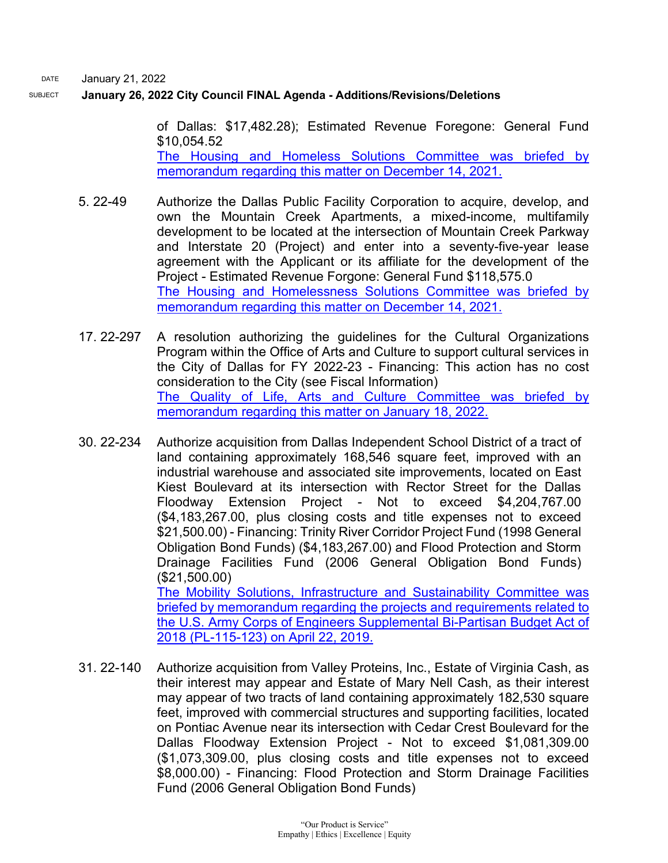DATE January 21, 2022

### SUBJECT **January 26, 2022 City Council FINAL Agenda - Additions/Revisions/Deletions**

of Dallas: \$17,482.28); Estimated Revenue Foregone: General Fund \$10,054.52 [The Housing and Homeless Solutions Committee was briefed by](http://cityofdallas.legistar.com/gateway.aspx?M=F&ID=169e345e-9647-48c9-bb0a-c847a03c4ec2.pdf)  [memorandum regarding this matter on December 14, 2021.](http://cityofdallas.legistar.com/gateway.aspx?M=F&ID=169e345e-9647-48c9-bb0a-c847a03c4ec2.pdf)

- 5. 22-49 Authorize the Dallas Public Facility Corporation to acquire, develop, and own the Mountain Creek Apartments, a mixed-income, multifamily development to be located at the intersection of Mountain Creek Parkway and Interstate 20 (Project) and enter into a seventy-five-year lease agreement with the Applicant or its affiliate for the development of the Project - Estimated Revenue Forgone: General Fund \$118,575.0 [The Housing and Homelessness Solutions Committee was briefed by](https://cityofdallas.legistar.com/View.ashx?M=F&ID=10348971&GUID=10054FD0-81A0-461D-8400-7B649FA22735)  [memorandum regarding this matter on December 14, 2021.](https://cityofdallas.legistar.com/View.ashx?M=F&ID=10348971&GUID=10054FD0-81A0-461D-8400-7B649FA22735)
- 17. 22-297 A resolution authorizing the guidelines for the Cultural Organizations Program within the Office of Arts and Culture to support cultural services in the City of Dallas for FY 2022-23 - Financing: This action has no cost consideration to the City (see Fiscal Information) [The Quality of Life, Arts and Culture Committee was briefed by](https://cityofdallas.legistar.com/View.ashx?M=F&ID=10400381&GUID=1293A0A5-913F-473C-95E2-A37F26708C86)  [memorandum regarding this matter on January 18, 2022.](https://cityofdallas.legistar.com/View.ashx?M=F&ID=10400381&GUID=1293A0A5-913F-473C-95E2-A37F26708C86)
- 30. 22-234 Authorize acquisition from Dallas Independent School District of a tract of land containing approximately 168,546 square feet, improved with an industrial warehouse and associated site improvements, located on East Kiest Boulevard at its intersection with Rector Street for the Dallas Floodway Extension Project - Not to exceed \$4,204,767.00 (\$4,183,267.00, plus closing costs and title expenses not to exceed \$21,500.00) - Financing: Trinity River Corridor Project Fund (1998 General Obligation Bond Funds) (\$4,183,267.00) and Flood Protection and Storm Drainage Facilities Fund (2006 General Obligation Bond Funds) (\$21,500.00) [The Mobility Solutions, Infrastructure and Sustainability Committee was](https://dallascityhall.com/government/Council%20Meeting%20Documents/msis_5__supplemental-appropriation-in-the-bipartisan-budget-act-of-2018-update-on-flood-risk-management-projects_memo_042219.pdf)  [briefed by memorandum regarding the projects and requirements related to](https://dallascityhall.com/government/Council%20Meeting%20Documents/msis_5__supplemental-appropriation-in-the-bipartisan-budget-act-of-2018-update-on-flood-risk-management-projects_memo_042219.pdf)  the U.S. Army Corps of Engineers [Supplemental Bi-Partisan Budget Act of](https://dallascityhall.com/government/Council%20Meeting%20Documents/msis_5__supplemental-appropriation-in-the-bipartisan-budget-act-of-2018-update-on-flood-risk-management-projects_memo_042219.pdf)  [2018 \(PL-115-123\) on April 22, 2019.](https://dallascityhall.com/government/Council%20Meeting%20Documents/msis_5__supplemental-appropriation-in-the-bipartisan-budget-act-of-2018-update-on-flood-risk-management-projects_memo_042219.pdf)
- 31. 22-140 Authorize acquisition from Valley Proteins, Inc., Estate of Virginia Cash, as their interest may appear and Estate of Mary Nell Cash, as their interest may appear of two tracts of land containing approximately 182,530 square feet, improved with commercial structures and supporting facilities, located on Pontiac Avenue near its intersection with Cedar Crest Boulevard for the Dallas Floodway Extension Project - Not to exceed \$1,081,309.00 (\$1,073,309.00, plus closing costs and title expenses not to exceed \$8,000.00) - Financing: Flood Protection and Storm Drainage Facilities Fund (2006 General Obligation Bond Funds)